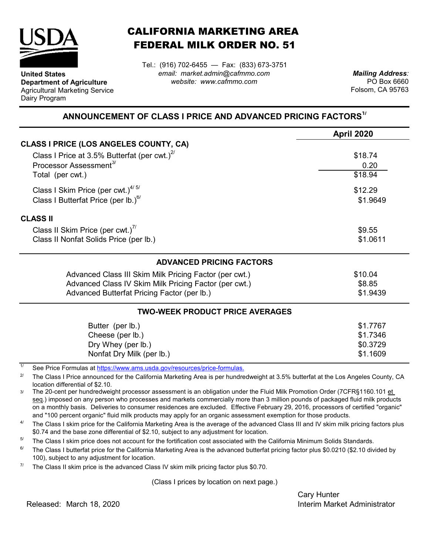

**United States**

Dairy Program

**Department of Agriculture** Agricultural Marketing Service

## CALIFORNIA MARKETING AREA FEDERAL MILK ORDER NO. 51

Tel.: (916) 702-6455 — Fax: (833) 673-3751 *email: market.admin@cafmmo.com website: www.cafmmo.com*

*Mailing Address:* PO Box 6660 Folsom, CA 95763

## **ANNOUNCEMENT OF CLASS I PRICE AND ADVANCED PRICING FACTORS1/**

|                                                                               | <b>April 2020</b> |  |  |  |
|-------------------------------------------------------------------------------|-------------------|--|--|--|
| <b>CLASS I PRICE (LOS ANGELES COUNTY, CA)</b>                                 |                   |  |  |  |
| Class I Price at 3.5% Butterfat (per cwt.) $^{27}$                            | \$18.74           |  |  |  |
| Processor Assessment <sup>3/</sup>                                            | 0.20              |  |  |  |
| Total (per cwt.)                                                              | \$18.94           |  |  |  |
| Class I Skim Price (per cwt.) $4/5/$                                          | \$12.29           |  |  |  |
| Class I Butterfat Price (per lb.) $^{6/}$                                     |                   |  |  |  |
| <b>CLASS II</b>                                                               |                   |  |  |  |
| Class II Skim Price (per cwt.)"                                               | \$9.55            |  |  |  |
| Class II Nonfat Solids Price (per lb.)                                        | \$1.0611          |  |  |  |
| <b>ADVANCED PRICING FACTORS</b>                                               |                   |  |  |  |
| Advanced Class III Skim Milk Pricing Factor (per cwt.)                        | \$10.04           |  |  |  |
| Advanced Class IV Skim Milk Pricing Factor (per cwt.)                         | \$8.85            |  |  |  |
| Advanced Butterfat Pricing Factor (per lb.)                                   | \$1.9439          |  |  |  |
| <b>TWO-WEEK PRODUCT PRICE AVERAGES</b>                                        |                   |  |  |  |
| Butter (per lb.)                                                              | \$1.7767          |  |  |  |
| Cheese (per lb.)                                                              | \$1.7346          |  |  |  |
| Dry Whey (per lb.)                                                            | \$0.3729          |  |  |  |
| Nonfat Dry Milk (per lb.)                                                     | \$1.1609          |  |  |  |
| 11<br>See Price Fermulas at https://www.ams.usda.gov/resources/price fermulas |                   |  |  |  |

See Price Formulas at <u>https://www.ams.usda.gov/r</u>

2/ The Class I Price announced for the California Marketing Area is per hundredweight at 3.5% butterfat at the Los Angeles County, CA location differential of \$2.10.

3/ The 20-cent per hundredweight processor assessment is an obligation under the Fluid Milk Promotion Order (7CFR§1160.101 et seq.) imposed on any person who processes and markets commercially more than 3 million pounds of packaged fluid milk products on a monthly basis. Deliveries to consumer residences are excluded. Effective February 29, 2016, processors of certified "organic" and "100 percent organic" fluid milk products may apply for an organic assessment exemption for those products.

4/ The Class I skim price for the California Marketing Area is the average of the advanced Class III and IV skim milk pricing factors plus \$0.74 and the base zone differential of \$2.10, subject to any adjustment for location.

5/ The Class I skim price does not account for the fortification cost associated with the California Minimum Solids Standards.

6/ The Class I butterfat price for the California Marketing Area is the advanced butterfat pricing factor plus \$0.0210 (\$2.10 divided by 100), subject to any adjustment for location.

7/ The Class II skim price is the advanced Class IV skim milk pricing factor plus \$0.70.

(Class I prices by location on next page.)

Cary Hunter Released: Interim Market Administrator March 18, 2020